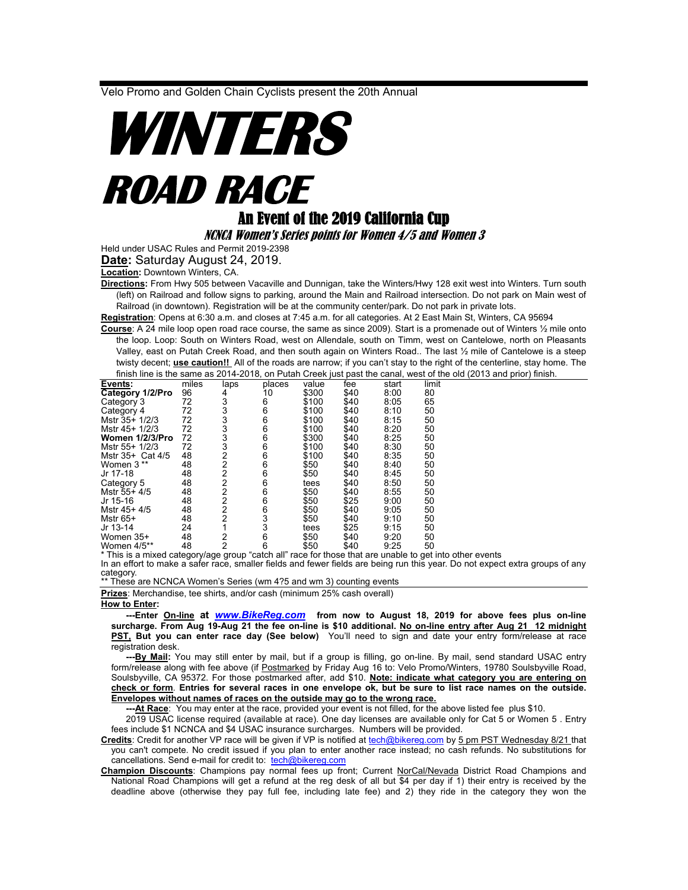Velo Promo and Golden Chain Cyclists present the 20th Annual

## **WINTERS ROAD RACE**

## An Event of the 2019 California Cup

NCNCA Women's Series points for Women 4/5 and Women 3

Held under USAC Rules and Permit 2019-2398

**Date:** Saturday August 24, 2019.

**Location:** Downtown Winters, CA.

**Directions:** From Hwy 505 between Vacaville and Dunnigan, take the Winters/Hwy 128 exit west into Winters. Turn south (left) on Railroad and follow signs to parking, around the Main and Railroad intersection. Do not park on Main west of Railroad (in downtown). Registration will be at the community center/park. Do not park in private lots.

**Registration**: Opens at 6:30 a.m. and closes at 7:45 a.m. for all categories. At 2 East Main St, Winters, CA 95694

**Course**: A 24 mile loop open road race course, the same as since 2009). Start is a promenade out of Winters ½ mile onto the loop. Loop: South on Winters Road, west on Allendale, south on Timm, west on Cantelowe, north on Pleasants Valley, east on Putah Creek Road, and then south again on Winters Road.. The last ½ mile of Cantelowe is a steep twisty decent; **use caution!!** All of the roads are narrow; if you can't stay to the right of the centerline, stay home. The finish line is the same as 2014-2018, on Putah Creek just past the canal, west of the old (2013 and prior) finish.

| Events:          | miles | laps           | places | value | fee  | start | limit |
|------------------|-------|----------------|--------|-------|------|-------|-------|
| Category 1/2/Pro | 96    | 4              | 10     | \$300 | \$40 | 8:00  | 80    |
| Category 3       | 72    | 3              | 6      | \$100 | \$40 | 8:05  | 65    |
| Category 4       | 72    | 3              | 6      | \$100 | \$40 | 8:10  | 50    |
| Mstr 35+ 1/2/3   | 72    | 3              | 6      | \$100 | \$40 | 8:15  | 50    |
| Mstr 45+ 1/2/3   | 72    | 3              | 6      | \$100 | \$40 | 8:20  | 50    |
| Women 1/2/3/Pro  | 72    | 3              | 6      | \$300 | \$40 | 8:25  | 50    |
| Mstr 55+ 1/2/3   | 72    | 3              | 6      | \$100 | \$40 | 8:30  | 50    |
| Mstr 35+ Cat 4/5 | 48    | 2              | 6      | \$100 | \$40 | 8:35  | 50    |
| Women 3 **       | 48    | 2              | 6      | \$50  | \$40 | 8:40  | 50    |
| Jr 17-18         | 48    | 2              | 6      | \$50  | \$40 | 8:45  | 50    |
| Category 5       | 48    | $\overline{2}$ | 6      | tees  | \$40 | 8:50  | 50    |
| Mstr 55+ 4/5     | 48    | 2              | 6      | \$50  | \$40 | 8:55  | 50    |
| Jr 15-16         | 48    | 2              | 6      | \$50  | \$25 | 9:00  | 50    |
| Mstr 45+ 4/5     | 48    | $\overline{2}$ | 6      | \$50  | \$40 | 9:05  | 50    |
| Mstr 65+         | 48    | 2              | 3      | \$50  | \$40 | 9:10  | 50    |
| Jr 13-14         | 24    |                | 3      | tees  | \$25 | 9:15  | 50    |
| Women 35+        | 48    | 2              | 6      | \$50  | \$40 | 9.20  | 50    |
| Women 4/5**      | 48    | 2              | 6      | \$50  | \$40 | 9:25  | 50    |

\* This is a mixed category/age group "catch all" race for those that are unable to get into other events In an effort to make a safer race, smaller fields and fewer fields are being run this year. Do not expect extra groups of any category.

\*\* These are NCNCA Women's Series (wm 4?5 and wm 3) counting events

**Prizes**: Merchandise, tee shirts, and/or cash (minimum 25% cash overall)

## **How to Enter:**

 **---Enter On-line at** *[www.BikeReg.com](http://www.bikereg.com/)* **from now to August 18, 2019 for above fees plus on-line surcharge. From Aug 19-Aug 21 the fee on-line is \$10 additional. No on-line entry after Aug 21 12 midnight PST, But you can enter race day (See below)** You'll need to sign and date your entry form/release at race registration desk.

 **---By Mail:** You may still enter by mail, but if a group is filling, go on-line. By mail, send standard USAC entry form/release along with fee above (if Postmarked by Friday Aug 16 to: Velo Promo/Winters, 19780 Soulsbyville Road, Soulsbyville, CA 95372. For those postmarked after, add \$10. **Note: indicate what category you are entering on check or form**. **Entries for several races in one envelope ok, but be sure to list race names on the outside. Envelopes without names of races on the outside may go to the wrong race.**

 **---At Race**: You may enter at the race, provided your event is not filled, for the above listed fee plus \$10.

2019 USAC license required (available at race). One day licenses are available only for Cat 5 or Women 5 . Entry fees include \$1 NCNCA and \$4 USAC insurance surcharges. Numbers will be provided.

**Credits**: Credit for another VP race will be given if VP is notified at [tech@bikereg.com](mailto:velopromo@sportsbaseonline.com) by 5 pm PST Wednesday 8/21 that you can't compete. No credit issued if you plan to enter another race instead; no cash refunds. No substitutions for cancellations. Send e-mail for credit to: [tech@bikereg.com](mailto:tech@bikereg.com)

**Champion Discounts**: Champions pay normal fees up front; Current NorCal/Nevada District Road Champions and National Road Champions will get a refund at the reg desk of all but \$4 per day if 1) their entry is received by the deadline above (otherwise they pay full fee, including late fee) and 2) they ride in the category they won the